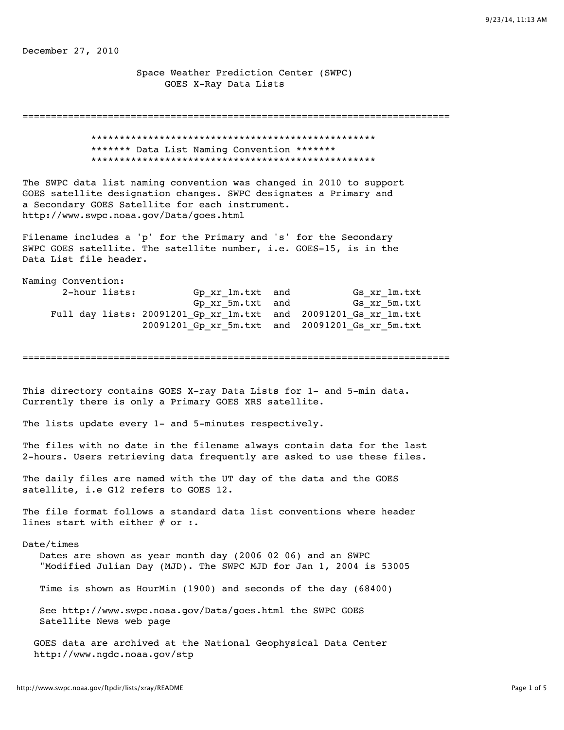December 27, 2010

 Space Weather Prediction Center (SWPC) GOES X-Ray Data Lists

=========================================================================== \*\*\*\*\*\*\*\*\*\*\*\*\*\*\*\*\*\*\*\*\*\*\*\*\*\*\*\*\*\*\*\*\*\*\*\*\*\*\*\*\*\*\*\*\*\*\*\*\*\* \*\*\*\*\*\*\* Data List Naming Convention \*\*\*\*\*\*\* \*\*\*\*\*\*\*\*\*\*\*\*\*\*\*\*\*\*\*\*\*\*\*\*\*\*\*\*\*\*\*\*\*\*\*\*\*\*\*\*\*\*\*\*\*\*\*\*\*\* The SWPC data list naming convention was changed in 2010 to support GOES satellite designation changes. SWPC designates a Primary and a Secondary GOES Satellite for each instrument. http://www.swpc.noaa.gov/Data/goes.html Filename includes a 'p' for the Primary and 's' for the Secondary SWPC GOES satellite. The satellite number, i.e. GOES-15, is in the Data List file header. Naming Convention: 2-hour lists: Gp\_xr\_1m.txt and Gs\_xr\_1m.txt Gp xr 5m.txt and Gs xr 5m.txt Full day lists: 20091201\_Gp\_xr\_1m.txt and 20091201\_Gs\_xr\_1m.txt 20091201\_Gp\_xr\_5m.txt and 20091201\_Gs\_xr\_5m.txt =========================================================================== This directory contains GOES X-ray Data Lists for 1- and 5-min data. Currently there is only a Primary GOES XRS satellite. The lists update every 1- and 5-minutes respectively. The files with no date in the filename always contain data for the last 2-hours. Users retrieving data frequently are asked to use these files. The daily files are named with the UT day of the data and the GOES satellite, i.e G12 refers to GOES 12. The file format follows a standard data list conventions where header lines start with either # or :. Date/times Dates are shown as year month day (2006 02 06) and an SWPC "Modified Julian Day (MJD). The SWPC MJD for Jan 1, 2004 is 53005 Time is shown as HourMin (1900) and seconds of the day (68400) See http://www.swpc.noaa.gov/Data/goes.html the SWPC GOES Satellite News web page GOES data are archived at the National Geophysical Data Center http://www.ngdc.noaa.gov/stp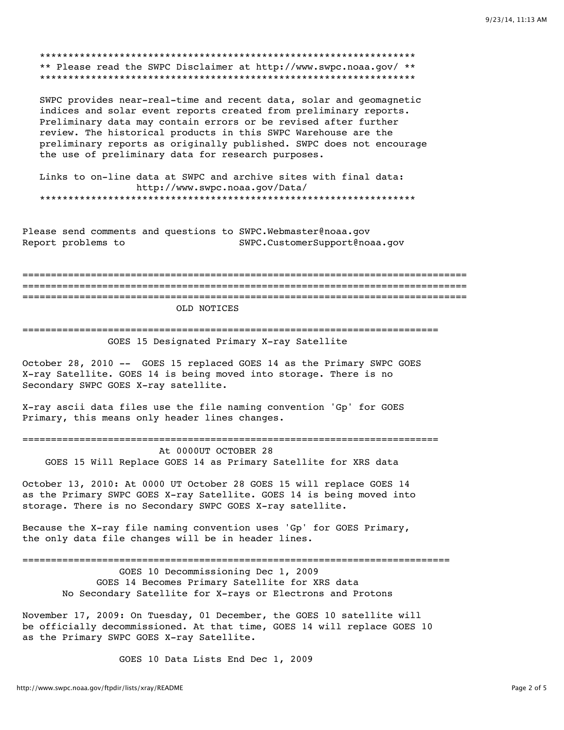\*\* Please read the SWPC Disclaimer at http://www.swpc.noaa.gov/ \*\* 

SWPC provides near-real-time and recent data, solar and geomagnetic indices and solar event reports created from preliminary reports. Preliminary data may contain errors or be revised after further review. The historical products in this SWPC Warehouse are the preliminary reports as originally published. SWPC does not encourage the use of preliminary data for research purposes.

Links to on-line data at SWPC and archive sites with final data: http://www.swpc.noaa.gov/Data/ 

Please send comments and questions to SWPC. Webmaster@noaa.gov Report problems to SWPC.CustomerSupport@noaa.gov

OLD NOTICES

GOES 15 Designated Primary X-ray Satellite

October 28, 2010 -- GOES 15 replaced GOES 14 as the Primary SWPC GOES X-ray Satellite. GOES 14 is being moved into storage. There is no Secondary SWPC GOES X-ray satellite.

X-ray ascii data files use the file naming convention 'Gp' for GOES Primary, this means only header lines changes.

At 0000UT OCTOBER 28

GOES 15 Will Replace GOES 14 as Primary Satellite for XRS data

October 13, 2010: At 0000 UT October 28 GOES 15 will replace GOES 14 as the Primary SWPC GOES X-ray Satellite. GOES 14 is being moved into storage. There is no Secondary SWPC GOES X-ray satellite.

Because the X-ray file naming convention uses 'Gp' for GOES Primary, the only data file changes will be in header lines.

GOES 10 Decommissioning Dec 1, 2009 GOES 14 Becomes Primary Satellite for XRS data No Secondary Satellite for X-rays or Electrons and Protons

November 17, 2009: On Tuesday, 01 December, the GOES 10 satellite will be officially decommissioned. At that time, GOES 14 will replace GOES 10 as the Primary SWPC GOES X-ray Satellite.

GOES 10 Data Lists End Dec 1, 2009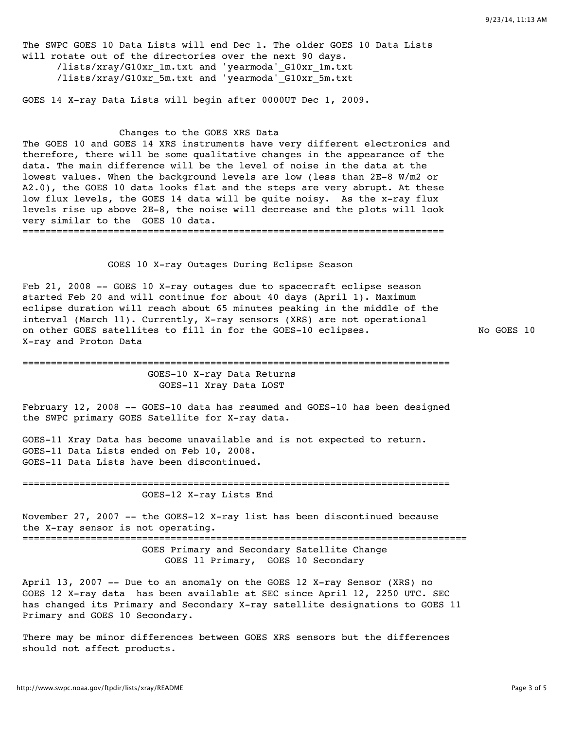The SWPC GOES 10 Data Lists will end Dec 1. The older GOES 10 Data Lists will rotate out of the directories over the next 90 days. /lists/xray/G10xr\_1m.txt and 'yearmoda'\_G10xr\_1m.txt /lists/xray/G10xr\_5m.txt and 'yearmoda'\_G10xr\_5m.txt GOES 14 X-ray Data Lists will begin after 0000UT Dec 1, 2009. Changes to the GOES XRS Data The GOES 10 and GOES 14 XRS instruments have very different electronics and therefore, there will be some qualitative changes in the appearance of the data. The main difference will be the level of noise in the data at the lowest values. When the background levels are low (less than 2E-8 W/m2 or A2.0), the GOES 10 data looks flat and the steps are very abrupt. At these low flux levels, the GOES 14 data will be quite noisy. As the x-ray flux levels rise up above 2E-8, the noise will decrease and the plots will look very similar to the GOES 10 data. ========================================================================== GOES 10 X-ray Outages During Eclipse Season Feb 21, 2008 -- GOES 10 X-ray outages due to spacecraft eclipse season started Feb 20 and will continue for about 40 days (April 1). Maximum eclipse duration will reach about 65 minutes peaking in the middle of the interval (March 11). Currently, X-ray sensors (XRS) are not operational on other GOES satellites to fill in for the GOES-10 eclipses. No GOES 10 X-ray and Proton Data =========================================================================== GOES-10 X-ray Data Returns GOES-11 Xray Data LOST February 12, 2008 -- GOES-10 data has resumed and GOES-10 has been designed the SWPC primary GOES Satellite for X-ray data. GOES-11 Xray Data has become unavailable and is not expected to return. GOES-11 Data Lists ended on Feb 10, 2008. GOES-11 Data Lists have been discontinued. =========================================================================== GOES-12 X-ray Lists End November 27, 2007 -- the GOES-12 X-ray list has been discontinued because the X-ray sensor is not operating. ============================================================================== GOES Primary and Secondary Satellite Change GOES 11 Primary, GOES 10 Secondary

April 13, 2007 -- Due to an anomaly on the GOES 12 X-ray Sensor (XRS) no GOES 12 X-ray data has been available at SEC since April 12, 2250 UTC. SEC has changed its Primary and Secondary X-ray satellite designations to GOES 11 Primary and GOES 10 Secondary.

There may be minor differences between GOES XRS sensors but the differences should not affect products.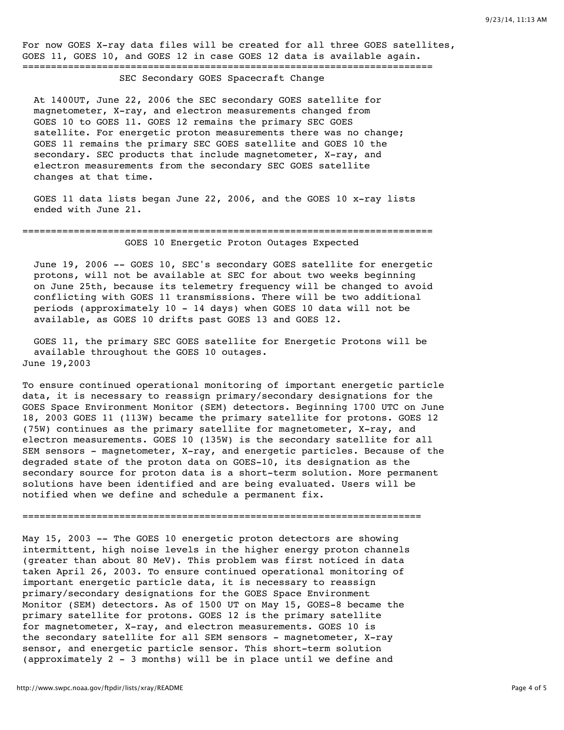For now GOES X-ray data files will be created for all three GOES satellites, GOES 11, GOES 10, and GOES 12 in case GOES 12 data is available again. ========================================================================

SEC Secondary GOES Spacecraft Change

 At 1400UT, June 22, 2006 the SEC secondary GOES satellite for magnetometer, X-ray, and electron measurements changed from GOES 10 to GOES 11. GOES 12 remains the primary SEC GOES satellite. For energetic proton measurements there was no change; GOES 11 remains the primary SEC GOES satellite and GOES 10 the secondary. SEC products that include magnetometer, X-ray, and electron measurements from the secondary SEC GOES satellite changes at that time.

 GOES 11 data lists began June 22, 2006, and the GOES 10 x-ray lists ended with June 21.

## ======================================================================== GOES 10 Energetic Proton Outages Expected

 June 19, 2006 -- GOES 10, SEC's secondary GOES satellite for energetic protons, will not be available at SEC for about two weeks beginning on June 25th, because its telemetry frequency will be changed to avoid conflicting with GOES 11 transmissions. There will be two additional periods (approximately 10 - 14 days) when GOES 10 data will not be available, as GOES 10 drifts past GOES 13 and GOES 12.

 GOES 11, the primary SEC GOES satellite for Energetic Protons will be available throughout the GOES 10 outages. June 19,2003

To ensure continued operational monitoring of important energetic particle data, it is necessary to reassign primary/secondary designations for the GOES Space Environment Monitor (SEM) detectors. Beginning 1700 UTC on June 18, 2003 GOES 11 (113W) became the primary satellite for protons. GOES 12 (75W) continues as the primary satellite for magnetometer, X-ray, and electron measurements. GOES 10 (135W) is the secondary satellite for all SEM sensors - magnetometer, X-ray, and energetic particles. Because of the degraded state of the proton data on GOES-10, its designation as the secondary source for proton data is a short-term solution. More permanent solutions have been identified and are being evaluated. Users will be notified when we define and schedule a permanent fix.

======================================================================

May 15, 2003 -- The GOES 10 energetic proton detectors are showing intermittent, high noise levels in the higher energy proton channels (greater than about 80 MeV). This problem was first noticed in data taken April 26, 2003. To ensure continued operational monitoring of important energetic particle data, it is necessary to reassign primary/secondary designations for the GOES Space Environment Monitor (SEM) detectors. As of 1500 UT on May 15, GOES-8 became the primary satellite for protons. GOES 12 is the primary satellite for magnetometer, X-ray, and electron measurements. GOES 10 is the secondary satellite for all SEM sensors - magnetometer, X-ray sensor, and energetic particle sensor. This short-term solution (approximately 2 - 3 months) will be in place until we define and